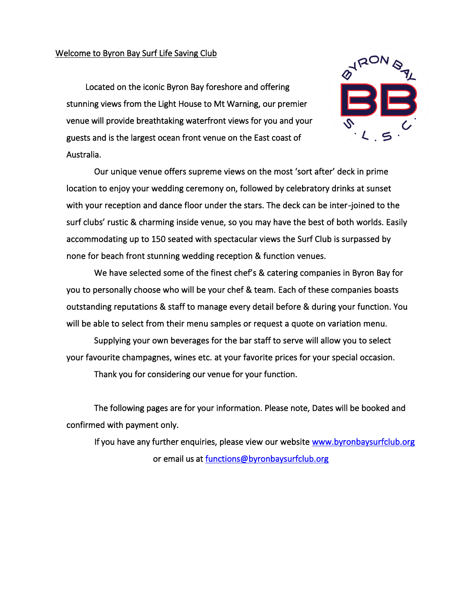### Welcome to Byron Bay Surf Life Saving Club

 Located on the iconic Byron Bay foreshore and offering stunning views from the Light House to Mt Warning, our premier venue will provide breathtaking waterfront views for you and your guests and is the largest ocean front venue on the East coast of Australia.



Our unique venue offers supreme views on the most 'sort after' deck in prime location to enjoy your wedding ceremony on, followed by celebratory drinks at sunset with your reception and dance floor under the stars. The deck can be inter-joined to the surf clubs' rustic & charming inside venue, so you may have the best of both worlds. Easily accommodating up to 150 seated with spectacular views the Surf Club is surpassed by none for beach front stunning wedding reception & function venues.

We have selected some of the finest chef's & catering companies in Byron Bay for you to personally choose who will be your chef & team. Each of these companies boasts outstanding reputations & staff to manage every detail before & during your function. You will be able to select from their menu samples or request a quote on variation menu.

Supplying your own beverages for the bar staff to serve will allow you to select your favourite champagnes, wines etc. at your favorite prices for your special occasion.

Thank you for considering our venue for your function.

The following pages are for your information. Please note, Dates will be booked and confirmed with payment only.

If you have any further enquiries, please view our website [www.byronbaysurfclub.org](http://www.byronbaysurfclub.orgu/)  or email us at [functions@byronbaysurfclub.org](mailto:functions@byronbaysurfclub.org)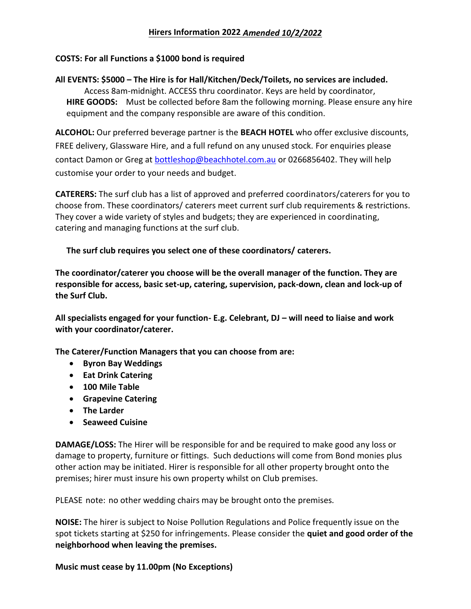# **Hirers Information 2022** *Amended 10/2/2022*

## **COSTS: For all Functions a \$1000 bond is required**

**All EVENTS: \$5000 – The Hire is for Hall/Kitchen/Deck/Toilets, no services are included.** Access 8am-midnight. ACCESS thru coordinator. Keys are held by coordinator, **HIRE GOODS:** Must be collected before 8am the following morning. Please ensure any hire equipment and the company responsible are aware of this condition.

**ALCOHOL:** Our preferred beverage partner is the **BEACH HOTEL** who offer exclusive discounts, FREE delivery, Glassware Hire, and a full refund on any unused stock. For enquiries please contact Damon or Greg at **bottleshop@beachhotel.com.au** or 0266856402. They will help customise your order to your needs and budget.

**CATERERS:** The surf club has a list of approved and preferred coordinators/caterers for you to choose from. These coordinators/ caterers meet current surf club requirements & restrictions. They cover a wide variety of styles and budgets; they are experienced in coordinating, catering and managing functions at the surf club.

**The surf club requires you select one of these coordinators/ caterers.**

**The coordinator/caterer you choose will be the overall manager of the function. They are responsible for access, basic set-up, catering, supervision, pack-down, clean and lock-up of the Surf Club.**

**All specialists engaged for your function- E.g. Celebrant, DJ – will need to liaise and work with your coordinator/caterer.**

**The Caterer/Function Managers that you can choose from are:**

- **Byron Bay Weddings**
- **Eat Drink Catering**
- **100 Mile Table**
- **Grapevine Catering**
- **The Larder**
- **Seaweed Cuisine**

**DAMAGE/LOSS:** The Hirer will be responsible for and be required to make good any loss or damage to property, furniture or fittings. Such deductions will come from Bond monies plus other action may be initiated. Hirer is responsible for all other property brought onto the premises; hirer must insure his own property whilst on Club premises.

PLEASE note: no other wedding chairs may be brought onto the premises.

**NOISE:** The hirer is subject to Noise Pollution Regulations and Police frequently issue on the spot tickets starting at \$250 for infringements. Please consider the **quiet and good order of the neighborhood when leaving the premises.**

**Music must cease by 11.00pm (No Exceptions)**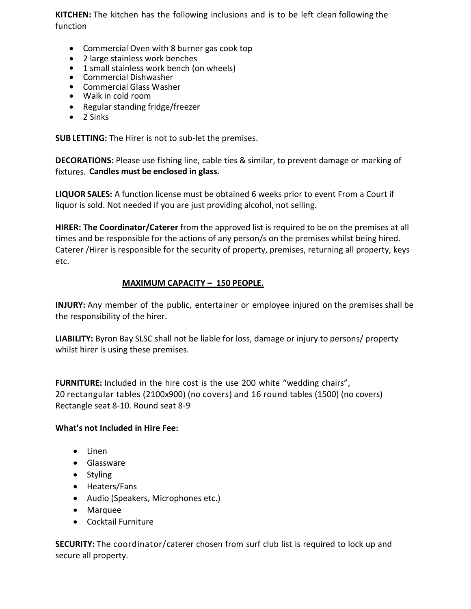**KITCHEN:** The kitchen has the following inclusions and is to be left clean following the function

- Commercial Oven with 8 burner gas cook top
- 2 large stainless work benches
- 1 small stainless work bench (on wheels)
- Commercial Dishwasher
- Commercial Glass Washer
- Walk in cold room
- Regular standing fridge/freezer
- 2 Sinks

**SUB LETTING:** The Hirer is not to sub-let the premises.

**DECORATIONS:** Please use fishing line, cable ties & similar, to prevent damage or marking of fixtures. **Candles must be enclosed in glass.**

**LIQUOR SALES:** A function license must be obtained 6 weeks prior to event From a Court if liquor is sold. Not needed if you are just providing alcohol, not selling.

**HIRER: The Coordinator/Caterer** from the approved list is required to be on the premises at all times and be responsible for the actions of any person/s on the premises whilst being hired. Caterer /Hirer is responsible for the security of property, premises, returning all property, keys etc.

## **MAXIMUM CAPACITY – 150 PEOPLE.**

**INJURY:** Any member of the public, entertainer or employee injured on the premises shall be the responsibility of the hirer.

**LIABILITY:** Byron Bay SLSC shall not be liable for loss, damage or injury to persons/ property whilst hirer is using these premises.

**FURNITURE:** Included in the hire cost is the use 200 white "wedding chairs", 20 rectangular tables (2100x900) (no covers) and 16 round tables (1500) (no covers) Rectangle seat 8-10. Round seat 8-9

## **What's not Included in Hire Fee:**

- Linen
- Glassware
- Styling
- Heaters/Fans
- Audio (Speakers, Microphones etc.)
- Marquee
- Cocktail Furniture

**SECURITY:** The coordinator/caterer chosen from surf club list is required to lock up and secure all property.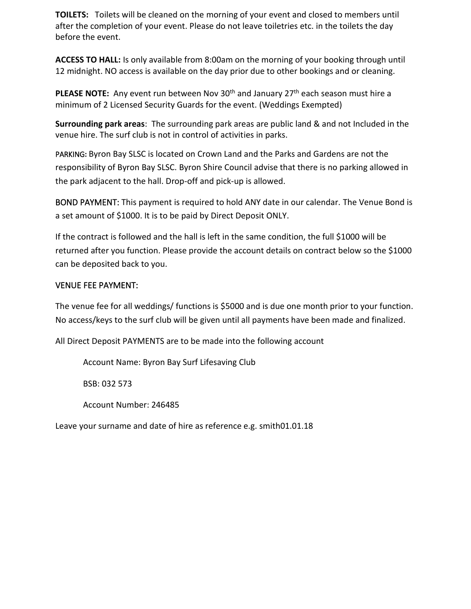**TOILETS:** Toilets will be cleaned on the morning of your event and closed to members until after the completion of your event. Please do not leave toiletries etc. in the toilets the day before the event.

**ACCESS TO HALL:** Is only available from 8:00am on the morning of your booking through until 12 midnight. NO access is available on the day prior due to other bookings and or cleaning.

**PLEASE NOTE:** Any event run between Nov 30<sup>th</sup> and January 27<sup>th</sup> each season must hire a minimum of 2 Licensed Security Guards for the event. (Weddings Exempted)

**Surrounding park areas**: The surrounding park areas are public land & and not Included in the venue hire. The surf club is not in control of activities in parks.

PARKING**:** Byron Bay SLSC is located on Crown Land and the Parks and Gardens are not the responsibility of Byron Bay SLSC. Byron Shire Council advise that there is no parking allowed in the park adjacent to the hall. Drop-off and pick-up is allowed.

BOND PAYMENT: This payment is required to hold ANY date in our calendar. The Venue Bond is a set amount of \$1000. It is to be paid by Direct Deposit ONLY.

If the contract is followed and the hall is left in the same condition, the full \$1000 will be returned after you function. Please provide the account details on contract below so the \$1000 can be deposited back to you.

# VENUE FEE PAYMENT:

The venue fee for all weddings/ functions is \$5000 and is due one month prior to your function. No access/keys to the surf club will be given until all payments have been made and finalized.

All Direct Deposit PAYMENTS are to be made into the following account

Account Name: Byron Bay Surf Lifesaving Club

BSB: 032 573

Account Number: 246485

Leave your surname and date of hire as reference e.g. smith01.01.18